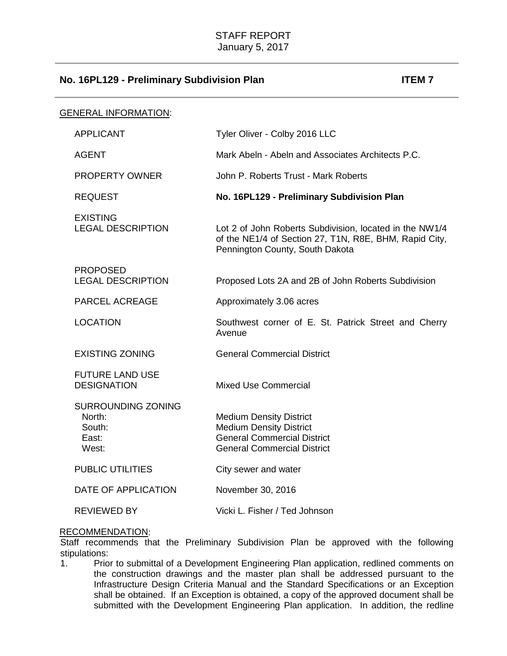| <b>GENERAL INFORMATION:</b> |                                                          |                                                                                                                                                      |
|-----------------------------|----------------------------------------------------------|------------------------------------------------------------------------------------------------------------------------------------------------------|
|                             | <b>APPLICANT</b>                                         | Tyler Oliver - Colby 2016 LLC                                                                                                                        |
|                             | <b>AGENT</b>                                             | Mark Abeln - Abeln and Associates Architects P.C.                                                                                                    |
|                             | <b>PROPERTY OWNER</b>                                    | John P. Roberts Trust - Mark Roberts                                                                                                                 |
|                             | <b>REQUEST</b>                                           | No. 16PL129 - Preliminary Subdivision Plan                                                                                                           |
|                             | <b>EXISTING</b><br><b>LEGAL DESCRIPTION</b>              | Lot 2 of John Roberts Subdivision, located in the NW1/4<br>of the NE1/4 of Section 27, T1N, R8E, BHM, Rapid City,<br>Pennington County, South Dakota |
|                             | <b>PROPOSED</b><br><b>LEGAL DESCRIPTION</b>              | Proposed Lots 2A and 2B of John Roberts Subdivision                                                                                                  |
|                             | PARCEL ACREAGE                                           | Approximately 3.06 acres                                                                                                                             |
|                             | <b>LOCATION</b>                                          | Southwest corner of E. St. Patrick Street and Cherry<br>Avenue                                                                                       |
|                             | <b>EXISTING ZONING</b>                                   | <b>General Commercial District</b>                                                                                                                   |
|                             | <b>FUTURE LAND USE</b><br><b>DESIGNATION</b>             | <b>Mixed Use Commercial</b>                                                                                                                          |
|                             | SURROUNDING ZONING<br>North:<br>South:<br>East:<br>West: | <b>Medium Density District</b><br><b>Medium Density District</b><br><b>General Commercial District</b><br><b>General Commercial District</b>         |
|                             | <b>PUBLIC UTILITIES</b>                                  | City sewer and water                                                                                                                                 |
|                             | DATE OF APPLICATION                                      | November 30, 2016                                                                                                                                    |
|                             | <b>REVIEWED BY</b>                                       | Vicki L. Fisher / Ted Johnson                                                                                                                        |

### RECOMMENDATION:

Staff recommends that the Preliminary Subdivision Plan be approved with the following stipulations:<br>1. Prio

Prior to submittal of a Development Engineering Plan application, redlined comments on the construction drawings and the master plan shall be addressed pursuant to the Infrastructure Design Criteria Manual and the Standard Specifications or an Exception shall be obtained. If an Exception is obtained, a copy of the approved document shall be submitted with the Development Engineering Plan application. In addition, the redline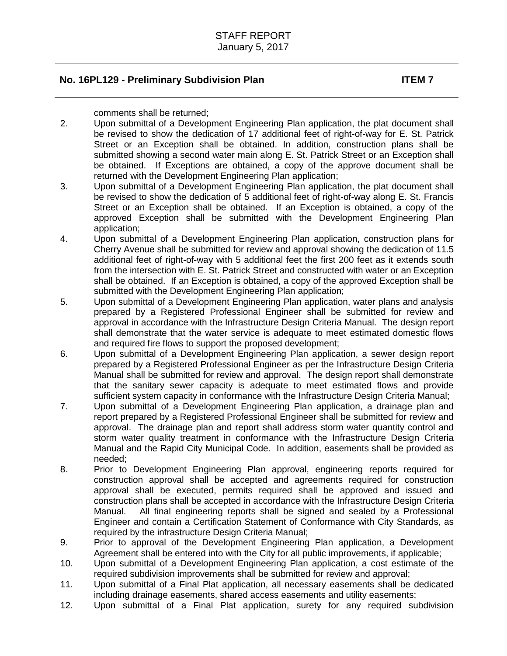comments shall be returned;

- 2. Upon submittal of a Development Engineering Plan application, the plat document shall be revised to show the dedication of 17 additional feet of right-of-way for E. St. Patrick Street or an Exception shall be obtained. In addition, construction plans shall be submitted showing a second water main along E. St. Patrick Street or an Exception shall be obtained. If Exceptions are obtained, a copy of the approve document shall be returned with the Development Engineering Plan application;
- 3. Upon submittal of a Development Engineering Plan application, the plat document shall be revised to show the dedication of 5 additional feet of right-of-way along E. St. Francis Street or an Exception shall be obtained. If an Exception is obtained, a copy of the approved Exception shall be submitted with the Development Engineering Plan application;
- 4. Upon submittal of a Development Engineering Plan application, construction plans for Cherry Avenue shall be submitted for review and approval showing the dedication of 11.5 additional feet of right-of-way with 5 additional feet the first 200 feet as it extends south from the intersection with E. St. Patrick Street and constructed with water or an Exception shall be obtained. If an Exception is obtained, a copy of the approved Exception shall be submitted with the Development Engineering Plan application;
- 5. Upon submittal of a Development Engineering Plan application, water plans and analysis prepared by a Registered Professional Engineer shall be submitted for review and approval in accordance with the Infrastructure Design Criteria Manual. The design report shall demonstrate that the water service is adequate to meet estimated domestic flows and required fire flows to support the proposed development;
- 6. Upon submittal of a Development Engineering Plan application, a sewer design report prepared by a Registered Professional Engineer as per the Infrastructure Design Criteria Manual shall be submitted for review and approval. The design report shall demonstrate that the sanitary sewer capacity is adequate to meet estimated flows and provide sufficient system capacity in conformance with the Infrastructure Design Criteria Manual;
- 7. Upon submittal of a Development Engineering Plan application, a drainage plan and report prepared by a Registered Professional Engineer shall be submitted for review and approval. The drainage plan and report shall address storm water quantity control and storm water quality treatment in conformance with the Infrastructure Design Criteria Manual and the Rapid City Municipal Code. In addition, easements shall be provided as needed;
- 8. Prior to Development Engineering Plan approval, engineering reports required for construction approval shall be accepted and agreements required for construction approval shall be executed, permits required shall be approved and issued and construction plans shall be accepted in accordance with the Infrastructure Design Criteria Manual. All final engineering reports shall be signed and sealed by a Professional Engineer and contain a Certification Statement of Conformance with City Standards, as required by the infrastructure Design Criteria Manual;
- 9. Prior to approval of the Development Engineering Plan application, a Development Agreement shall be entered into with the City for all public improvements, if applicable;
- 10. Upon submittal of a Development Engineering Plan application, a cost estimate of the required subdivision improvements shall be submitted for review and approval;
- 11. Upon submittal of a Final Plat application, all necessary easements shall be dedicated including drainage easements, shared access easements and utility easements;
- 12. Upon submittal of a Final Plat application, surety for any required subdivision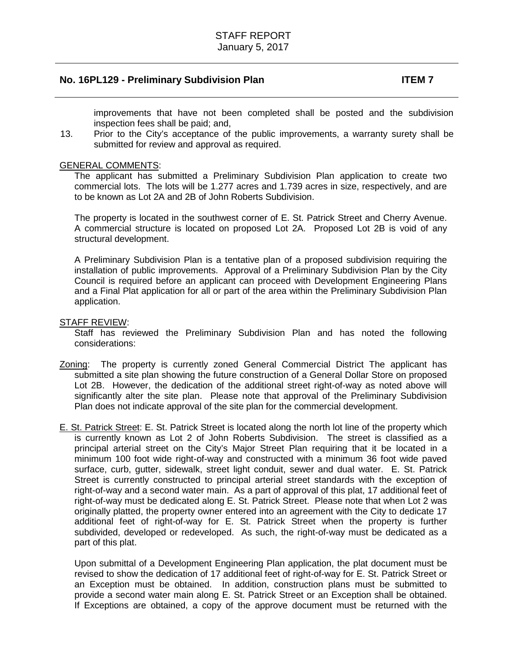improvements that have not been completed shall be posted and the subdivision inspection fees shall be paid; and,

13. Prior to the City's acceptance of the public improvements, a warranty surety shall be submitted for review and approval as required.

## GENERAL COMMENTS:

The applicant has submitted a Preliminary Subdivision Plan application to create two commercial lots. The lots will be 1.277 acres and 1.739 acres in size, respectively, and are to be known as Lot 2A and 2B of John Roberts Subdivision.

The property is located in the southwest corner of E. St. Patrick Street and Cherry Avenue. A commercial structure is located on proposed Lot 2A. Proposed Lot 2B is void of any structural development.

A Preliminary Subdivision Plan is a tentative plan of a proposed subdivision requiring the installation of public improvements. Approval of a Preliminary Subdivision Plan by the City Council is required before an applicant can proceed with Development Engineering Plans and a Final Plat application for all or part of the area within the Preliminary Subdivision Plan application.

## STAFF REVIEW:

Staff has reviewed the Preliminary Subdivision Plan and has noted the following considerations:

- Zoning: The property is currently zoned General Commercial District The applicant has submitted a site plan showing the future construction of a General Dollar Store on proposed Lot 2B. However, the dedication of the additional street right-of-way as noted above will significantly alter the site plan. Please note that approval of the Preliminary Subdivision Plan does not indicate approval of the site plan for the commercial development.
- E. St. Patrick Street: E. St. Patrick Street is located along the north lot line of the property which is currently known as Lot 2 of John Roberts Subdivision. The street is classified as a principal arterial street on the City's Major Street Plan requiring that it be located in a minimum 100 foot wide right-of-way and constructed with a minimum 36 foot wide paved surface, curb, gutter, sidewalk, street light conduit, sewer and dual water. E. St. Patrick Street is currently constructed to principal arterial street standards with the exception of right-of-way and a second water main. As a part of approval of this plat, 17 additional feet of right-of-way must be dedicated along E. St. Patrick Street. Please note that when Lot 2 was originally platted, the property owner entered into an agreement with the City to dedicate 17 additional feet of right-of-way for E. St. Patrick Street when the property is further subdivided, developed or redeveloped. As such, the right-of-way must be dedicated as a part of this plat.

Upon submittal of a Development Engineering Plan application, the plat document must be revised to show the dedication of 17 additional feet of right-of-way for E. St. Patrick Street or an Exception must be obtained. In addition, construction plans must be submitted to provide a second water main along E. St. Patrick Street or an Exception shall be obtained. If Exceptions are obtained, a copy of the approve document must be returned with the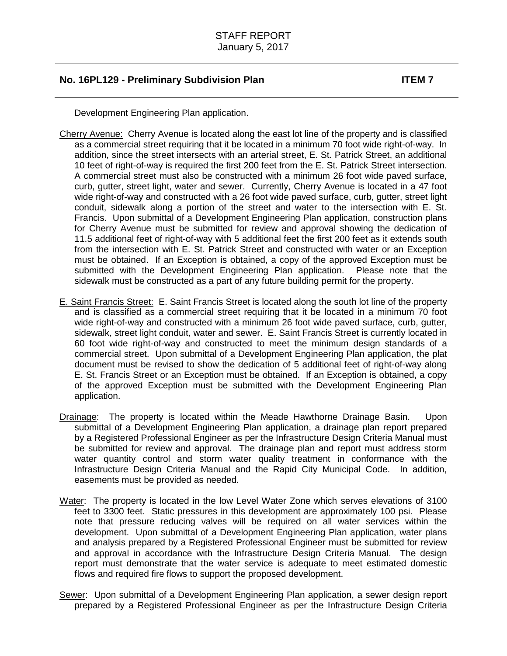Development Engineering Plan application.

- Cherry Avenue: Cherry Avenue is located along the east lot line of the property and is classified as a commercial street requiring that it be located in a minimum 70 foot wide right-of-way. In addition, since the street intersects with an arterial street, E. St. Patrick Street, an additional 10 feet of right-of-way is required the first 200 feet from the E. St. Patrick Street intersection. A commercial street must also be constructed with a minimum 26 foot wide paved surface, curb, gutter, street light, water and sewer. Currently, Cherry Avenue is located in a 47 foot wide right-of-way and constructed with a 26 foot wide paved surface, curb, gutter, street light conduit, sidewalk along a portion of the street and water to the intersection with E. St. Francis. Upon submittal of a Development Engineering Plan application, construction plans for Cherry Avenue must be submitted for review and approval showing the dedication of 11.5 additional feet of right-of-way with 5 additional feet the first 200 feet as it extends south from the intersection with E. St. Patrick Street and constructed with water or an Exception must be obtained. If an Exception is obtained, a copy of the approved Exception must be submitted with the Development Engineering Plan application. Please note that the sidewalk must be constructed as a part of any future building permit for the property.
- E. Saint Francis Street: E. Saint Francis Street is located along the south lot line of the property and is classified as a commercial street requiring that it be located in a minimum 70 foot wide right-of-way and constructed with a minimum 26 foot wide paved surface, curb, gutter, sidewalk, street light conduit, water and sewer. E. Saint Francis Street is currently located in 60 foot wide right-of-way and constructed to meet the minimum design standards of a commercial street. Upon submittal of a Development Engineering Plan application, the plat document must be revised to show the dedication of 5 additional feet of right-of-way along E. St. Francis Street or an Exception must be obtained. If an Exception is obtained, a copy of the approved Exception must be submitted with the Development Engineering Plan application.
- Drainage: The property is located within the Meade Hawthorne Drainage Basin. Upon submittal of a Development Engineering Plan application, a drainage plan report prepared by a Registered Professional Engineer as per the Infrastructure Design Criteria Manual must be submitted for review and approval. The drainage plan and report must address storm water quantity control and storm water quality treatment in conformance with the Infrastructure Design Criteria Manual and the Rapid City Municipal Code. In addition, easements must be provided as needed.
- Water: The property is located in the low Level Water Zone which serves elevations of 3100 feet to 3300 feet. Static pressures in this development are approximately 100 psi. Please note that pressure reducing valves will be required on all water services within the development. Upon submittal of a Development Engineering Plan application, water plans and analysis prepared by a Registered Professional Engineer must be submitted for review and approval in accordance with the Infrastructure Design Criteria Manual. The design report must demonstrate that the water service is adequate to meet estimated domestic flows and required fire flows to support the proposed development.
- Sewer: Upon submittal of a Development Engineering Plan application, a sewer design report prepared by a Registered Professional Engineer as per the Infrastructure Design Criteria